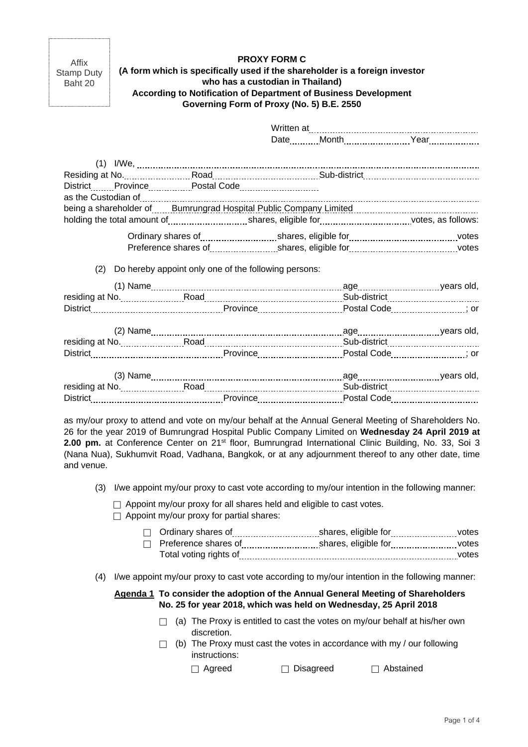Affix Stamp Duty Baht 20

| <b>PROXY FORM C</b>                                                         |
|-----------------------------------------------------------------------------|
| (A form which is specifically used if the shareholder is a foreign investor |
| who has a custodian in Thailand)                                            |
| According to Notification of Department of Business Development             |
| Governing Form of Proxy (No. 5) B.E. 2550                                   |

**PROXY FORM C** 

Written at Date \_\_\_\_\_\_\_\_\_ Month \_\_\_\_\_\_\_\_\_\_\_\_\_\_\_\_\_\_\_\_\_\_\_\_\_Year \_\_\_\_\_\_\_\_\_\_\_\_\_\_\_\_\_\_\_\_\_\_\_\_\_\_\_\_\_ (1) I/We, Residing at No. 2000 Road Road Communication and Sub-district District Province Postal Code Provence Postal Code as the Custodian of being a shareholder of **Bumrungrad Hospital Public Company Limited Bullion** Burnor and Shareholder of **Bullion** holding the total amount of shares, eligible for shares, eligible for votes, as follows: Ordinary shares of shares, eligible for shares, eligible for shares, eligible for shares, eligible for shares, eligible for shares and the states of shares and the state of the state of the state of the state of the state Preference shares of shares, eligible for shares, eligible for votes (2) Do hereby appoint only one of the following persons:  $(1)$  Name years old, residing at No. 2000 Road Road Road Route and Sub-district Pub-district Pub-district 2000 Road Road Road Road R District Province Postal Code ; or (2) Name age years old, residing at No. Road Sub-district District Entertain Province Province Postal Code Postal Code (2001) and District Postal Code (2006) and District Postal Code (2006) and District Province (2006) and District Province (2006) and District Postal Code (2006) (3) Name age years old, residing at No. Road Sub-district District Pictor (1990) District Province Province Postal Code Postal Code

as my/our proxy to attend and vote on my/our behalf at the Annual General Meeting of Shareholders No. 26 for the year 2019 of Bumrungrad Hospital Public Company Limited on **Wednesday 24 April 2019 at**  2.00 pm. at Conference Center on 21<sup>st</sup> floor, Bumrungrad International Clinic Building, No. 33, Soi 3 (Nana Nua), Sukhumvit Road, Vadhana, Bangkok, or at any adjournment thereof to any other date, time and venue.

- (3) I/we appoint my/our proxy to cast vote according to my/our intention in the following manner:
	- $\Box$  Appoint my/our proxy for all shares held and eligible to cast votes.
	- $\Box$  Appoint my/our proxy for partial shares:

| $\Box$ Ordinary shares of | shares, eligible for | votes |
|---------------------------|----------------------|-------|
| Preference shares of      | shares, eligible for | votes |
| Total voting rights of    |                      | votes |

(4) I/we appoint my/our proxy to cast vote according to my/our intention in the following manner:

## **Agenda 1 To consider the adoption of the Annual General Meeting of Shareholders No. 25 for year 2018, which was held on Wednesday, 25 April 2018**

- $\Box$  (a) The Proxy is entitled to cast the votes on my/our behalf at his/her own discretion.
- $\Box$  (b) The Proxy must cast the votes in accordance with my / our following instructions:

 $\Box$  Agreed  $\Box$  Disagreed  $\Box$  Abstained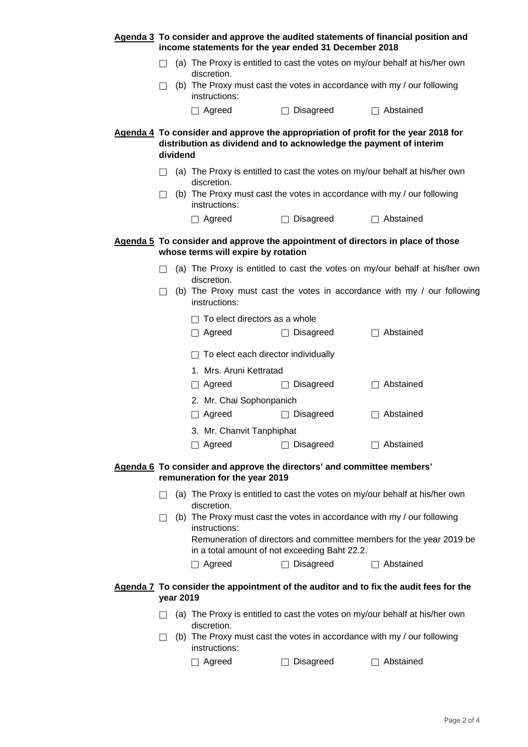|              |           |                                         | income statements for the year ended 31 December 2018                  | Agenda 3 To consider and approve the audited statements of financial position and     |
|--------------|-----------|-----------------------------------------|------------------------------------------------------------------------|---------------------------------------------------------------------------------------|
|              |           | discretion.                             |                                                                        | (a) The Proxy is entitled to cast the votes on my/our behalf at his/her own           |
| $\perp$      |           | instructions:                           |                                                                        | (b) The Proxy must cast the votes in accordance with my / our following               |
|              |           | □ Agreed                                | Disagreed                                                              | Abstained                                                                             |
|              | dividend  |                                         | distribution as dividend and to acknowledge the payment of interim     | Agenda 4 To consider and approve the appropriation of profit for the year 2018 for    |
|              |           | discretion.                             |                                                                        | (a) The Proxy is entitled to cast the votes on my/our behalf at his/her own           |
| $\mathsf{L}$ |           | instructions:                           |                                                                        | (b) The Proxy must cast the votes in accordance with my / our following               |
|              |           | $\Box$ Agreed                           | Disagreed                                                              | Abstained                                                                             |
|              |           | whose terms will expire by rotation     |                                                                        | Agenda 5 To consider and approve the appointment of directors in place of those       |
|              |           | discretion.                             |                                                                        | (a) The Proxy is entitled to cast the votes on my/our behalf at his/her own           |
| $\mathsf{L}$ |           | instructions:                           |                                                                        | (b) The Proxy must cast the votes in accordance with my $\prime$ our following        |
|              |           | To elect directors as a whole<br>Agreed | $\Box$ Disagreed                                                       | $\Box$ Abstained                                                                      |
|              |           | To elect each director individually     |                                                                        |                                                                                       |
|              |           | 1. Mrs. Aruni Kettratad                 |                                                                        |                                                                                       |
|              |           | Agreed                                  | Disagreed                                                              | Abstained                                                                             |
|              |           | 2. Mr. Chai Sophonpanich<br>Agreed      | <b>Disagreed</b><br>$\Box$                                             | Abstained                                                                             |
|              |           | 3. Mr. Chanvit Tanphiphat               |                                                                        |                                                                                       |
|              |           | Agreed                                  | Disagreed                                                              | □ Abstained                                                                           |
|              |           | remuneration for the year 2019          | Agenda 6 To consider and approve the directors' and committee members' |                                                                                       |
| $\perp$      |           |                                         |                                                                        | (a) The Proxy is entitled to cast the votes on my/our behalf at his/her own           |
|              |           | discretion.<br>instructions:            |                                                                        | (b) The Proxy must cast the votes in accordance with my / our following               |
|              |           |                                         | in a total amount of not exceeding Baht 22.2.                          | Remuneration of directors and committee members for the year 2019 be                  |
|              |           | $\Box$ Agreed                           | $\Box$ Disagreed                                                       | $\Box$ Abstained                                                                      |
|              | year 2019 |                                         |                                                                        | Agenda 7 To consider the appointment of the auditor and to fix the audit fees for the |
|              |           | discretion.                             |                                                                        | (a) The Proxy is entitled to cast the votes on my/our behalf at his/her own           |
|              |           | instructions:                           |                                                                        | (b) The Proxy must cast the votes in accordance with my / our following               |
|              |           | Agreed                                  | Disagreed                                                              | Abstained                                                                             |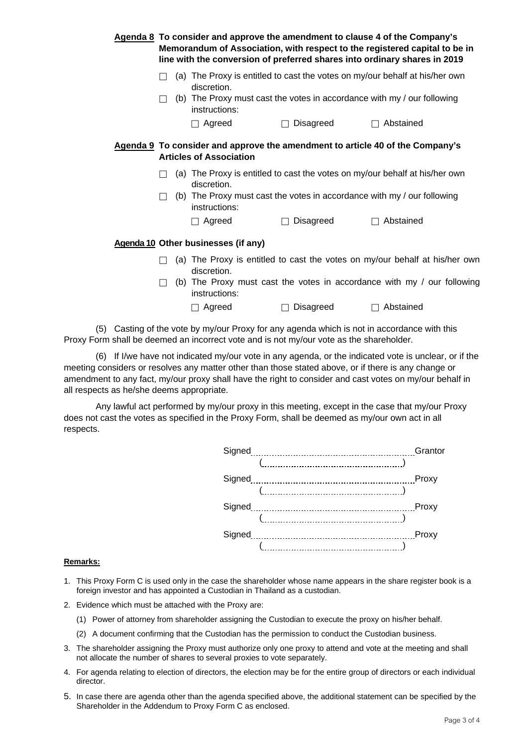|  |         |                                     |                     | Agenda 8 To consider and approve the amendment to clause 4 of the Company's<br>Memorandum of Association, with respect to the registered capital to be in<br>line with the conversion of preferred shares into ordinary shares in 2019 |
|--|---------|-------------------------------------|---------------------|----------------------------------------------------------------------------------------------------------------------------------------------------------------------------------------------------------------------------------------|
|  |         | discretion.                         |                     | (a) The Proxy is entitled to cast the votes on my/our behalf at his/her own                                                                                                                                                            |
|  | $\perp$ | instructions:                       |                     | (b) The Proxy must cast the votes in accordance with my / our following                                                                                                                                                                |
|  |         | Agreed                              | Disagreed<br>$\Box$ | Abstained                                                                                                                                                                                                                              |
|  |         | <b>Articles of Association</b>      |                     | Agenda 9 To consider and approve the amendment to article 40 of the Company's                                                                                                                                                          |
|  |         | discretion.                         |                     | (a) The Proxy is entitled to cast the votes on my/our behalf at his/her own                                                                                                                                                            |
|  |         | instructions:                       |                     | (b) The Proxy must cast the votes in accordance with my / our following                                                                                                                                                                |
|  |         | Agreed                              | Disagreed<br>П      | Abstained                                                                                                                                                                                                                              |
|  |         | Agenda 10 Other businesses (if any) |                     |                                                                                                                                                                                                                                        |
|  |         | discretion.                         |                     | (a) The Proxy is entitled to cast the votes on my/our behalf at his/her own                                                                                                                                                            |
|  | П       | instructions:                       |                     | (b) The Proxy must cast the votes in accordance with my / our following                                                                                                                                                                |
|  |         | Agreed                              | Disagreed           | Abstained                                                                                                                                                                                                                              |
|  |         |                                     |                     |                                                                                                                                                                                                                                        |

 (5) Casting of the vote by my/our Proxy for any agenda which is not in accordance with this Proxy Form shall be deemed an incorrect vote and is not my/our vote as the shareholder.

 (6) If I/we have not indicated my/our vote in any agenda, or the indicated vote is unclear, or if the meeting considers or resolves any matter other than those stated above, or if there is any change or amendment to any fact, my/our proxy shall have the right to consider and cast votes on my/our behalf in all respects as he/she deems appropriate.

Any lawful act performed by my/our proxy in this meeting, except in the case that my/our Proxy does not cast the votes as specified in the Proxy Form, shall be deemed as my/our own act in all respects.



## **Remarks:**

- 1. This Proxy Form C is used only in the case the shareholder whose name appears in the share register book is a foreign investor and has appointed a Custodian in Thailand as a custodian.
- 2. Evidence which must be attached with the Proxy are:
	- (1) Power of attorney from shareholder assigning the Custodian to execute the proxy on his/her behalf.
	- (2) A document confirming that the Custodian has the permission to conduct the Custodian business.
- 3. The shareholder assigning the Proxy must authorize only one proxy to attend and vote at the meeting and shall not allocate the number of shares to several proxies to vote separately.
- 4. For agenda relating to election of directors, the election may be for the entire group of directors or each individual director.
- 5. In case there are agenda other than the agenda specified above, the additional statement can be specified by the Shareholder in the Addendum to Proxy Form C as enclosed.